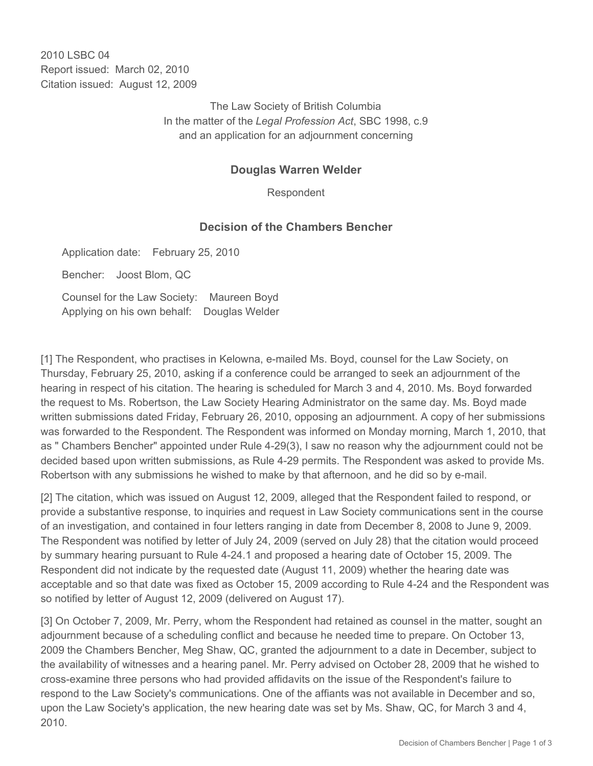2010 LSBC 04 Report issued: March 02, 2010 Citation issued: August 12, 2009

> The Law Society of British Columbia In the matter of the *Legal Profession Act*, SBC 1998, c.9 and an application for an adjournment concerning

## **Douglas Warren Welder**

Respondent

## **Decision of the Chambers Bencher**

Application date: February 25, 2010

Bencher: Joost Blom, QC

Counsel for the Law Society: Maureen Boyd Applying on his own behalf: Douglas Welder

[1] The Respondent, who practises in Kelowna, e-mailed Ms. Boyd, counsel for the Law Society, on Thursday, February 25, 2010, asking if a conference could be arranged to seek an adjournment of the hearing in respect of his citation. The hearing is scheduled for March 3 and 4, 2010. Ms. Boyd forwarded the request to Ms. Robertson, the Law Society Hearing Administrator on the same day. Ms. Boyd made written submissions dated Friday, February 26, 2010, opposing an adjournment. A copy of her submissions was forwarded to the Respondent. The Respondent was informed on Monday morning, March 1, 2010, that as " Chambers Bencher" appointed under Rule 4-29(3), I saw no reason why the adjournment could not be decided based upon written submissions, as Rule 4-29 permits. The Respondent was asked to provide Ms. Robertson with any submissions he wished to make by that afternoon, and he did so by e-mail.

[2] The citation, which was issued on August 12, 2009, alleged that the Respondent failed to respond, or provide a substantive response, to inquiries and request in Law Society communications sent in the course of an investigation, and contained in four letters ranging in date from December 8, 2008 to June 9, 2009. The Respondent was notified by letter of July 24, 2009 (served on July 28) that the citation would proceed by summary hearing pursuant to Rule 4-24.1 and proposed a hearing date of October 15, 2009. The Respondent did not indicate by the requested date (August 11, 2009) whether the hearing date was acceptable and so that date was fixed as October 15, 2009 according to Rule 4-24 and the Respondent was so notified by letter of August 12, 2009 (delivered on August 17).

[3] On October 7, 2009, Mr. Perry, whom the Respondent had retained as counsel in the matter, sought an adjournment because of a scheduling conflict and because he needed time to prepare. On October 13, 2009 the Chambers Bencher, Meg Shaw, QC, granted the adjournment to a date in December, subject to the availability of witnesses and a hearing panel. Mr. Perry advised on October 28, 2009 that he wished to cross-examine three persons who had provided affidavits on the issue of the Respondent's failure to respond to the Law Society's communications. One of the affiants was not available in December and so, upon the Law Society's application, the new hearing date was set by Ms. Shaw, QC, for March 3 and 4, 2010.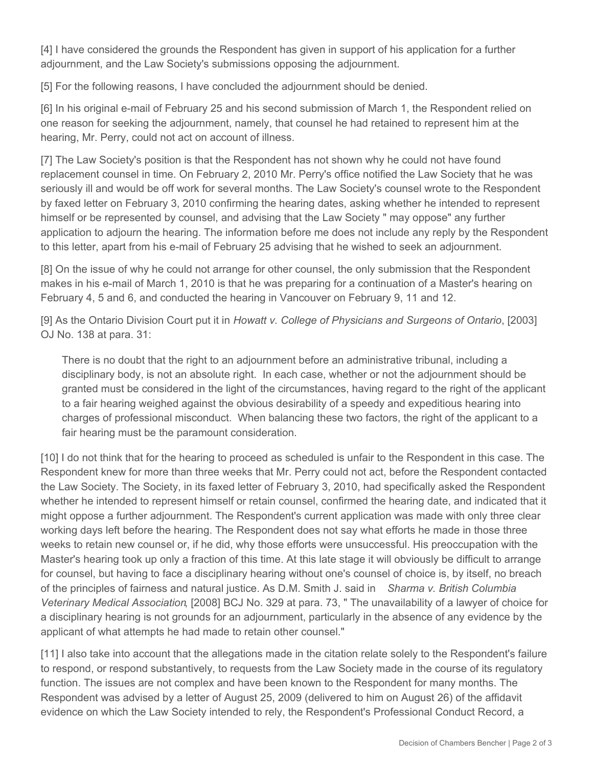[4] I have considered the grounds the Respondent has given in support of his application for a further adjournment, and the Law Society's submissions opposing the adjournment.

[5] For the following reasons, I have concluded the adjournment should be denied.

[6] In his original e-mail of February 25 and his second submission of March 1, the Respondent relied on one reason for seeking the adjournment, namely, that counsel he had retained to represent him at the hearing, Mr. Perry, could not act on account of illness.

[7] The Law Society's position is that the Respondent has not shown why he could not have found replacement counsel in time. On February 2, 2010 Mr. Perry's office notified the Law Society that he was seriously ill and would be off work for several months. The Law Society's counsel wrote to the Respondent by faxed letter on February 3, 2010 confirming the hearing dates, asking whether he intended to represent himself or be represented by counsel, and advising that the Law Society " may oppose" any further application to adjourn the hearing. The information before me does not include any reply by the Respondent to this letter, apart from his e-mail of February 25 advising that he wished to seek an adjournment.

[8] On the issue of why he could not arrange for other counsel, the only submission that the Respondent makes in his e-mail of March 1, 2010 is that he was preparing for a continuation of a Master's hearing on February 4, 5 and 6, and conducted the hearing in Vancouver on February 9, 11 and 12.

[9] As the Ontario Division Court put it in *Howatt v. College of Physicians and Surgeons of Ontario*, [2003] OJ No. 138 at para. 31:

There is no doubt that the right to an adjournment before an administrative tribunal, including a disciplinary body, is not an absolute right. In each case, whether or not the adjournment should be granted must be considered in the light of the circumstances, having regard to the right of the applicant to a fair hearing weighed against the obvious desirability of a speedy and expeditious hearing into charges of professional misconduct. When balancing these two factors, the right of the applicant to a fair hearing must be the paramount consideration.

[10] I do not think that for the hearing to proceed as scheduled is unfair to the Respondent in this case. The Respondent knew for more than three weeks that Mr. Perry could not act, before the Respondent contacted the Law Society. The Society, in its faxed letter of February 3, 2010, had specifically asked the Respondent whether he intended to represent himself or retain counsel, confirmed the hearing date, and indicated that it might oppose a further adjournment. The Respondent's current application was made with only three clear working days left before the hearing. The Respondent does not say what efforts he made in those three weeks to retain new counsel or, if he did, why those efforts were unsuccessful. His preoccupation with the Master's hearing took up only a fraction of this time. At this late stage it will obviously be difficult to arrange for counsel, but having to face a disciplinary hearing without one's counsel of choice is, by itself, no breach of the principles of fairness and natural justice. As D.M. Smith J. said in *Sharma v. British Columbia Veterinary Medical Association*, [2008] BCJ No. 329 at para. 73, " The unavailability of a lawyer of choice for a disciplinary hearing is not grounds for an adjournment, particularly in the absence of any evidence by the applicant of what attempts he had made to retain other counsel."

[11] I also take into account that the allegations made in the citation relate solely to the Respondent's failure to respond, or respond substantively, to requests from the Law Society made in the course of its regulatory function. The issues are not complex and have been known to the Respondent for many months. The Respondent was advised by a letter of August 25, 2009 (delivered to him on August 26) of the affidavit evidence on which the Law Society intended to rely, the Respondent's Professional Conduct Record, a